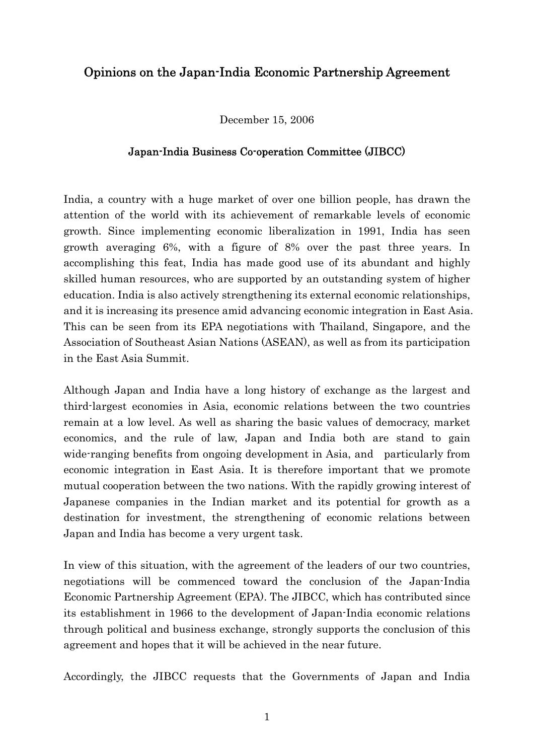# Opinions on the Japan-India Economic Partnership Agreement

December 15, 2006

#### Japan-India Business Co-operation Committee (JIBCC)

India, a country with a huge market of over one billion people, has drawn the attention of the world with its achievement of remarkable levels of economic growth. Since implementing economic liberalization in 1991, India has seen growth averaging 6%, with a figure of 8% over the past three years. In accomplishing this feat, India has made good use of its abundant and highly skilled human resources, who are supported by an outstanding system of higher education. India is also actively strengthening its external economic relationships, and it is increasing its presence amid advancing economic integration in East Asia. This can be seen from its EPA negotiations with Thailand, Singapore, and the Association of Southeast Asian Nations (ASEAN), as well as from its participation in the East Asia Summit.

Although Japan and India have a long history of exchange as the largest and third-largest economies in Asia, economic relations between the two countries remain at a low level. As well as sharing the basic values of democracy, market economics, and the rule of law, Japan and India both are stand to gain wide-ranging benefits from ongoing development in Asia, and particularly from economic integration in East Asia. It is therefore important that we promote mutual cooperation between the two nations. With the rapidly growing interest of Japanese companies in the Indian market and its potential for growth as a destination for investment, the strengthening of economic relations between Japan and India has become a very urgent task.

In view of this situation, with the agreement of the leaders of our two countries, negotiations will be commenced toward the conclusion of the Japan-India Economic Partnership Agreement (EPA). The JIBCC, which has contributed since its establishment in 1966 to the development of Japan-India economic relations through political and business exchange, strongly supports the conclusion of this agreement and hopes that it will be achieved in the near future.

Accordingly, the JIBCC requests that the Governments of Japan and India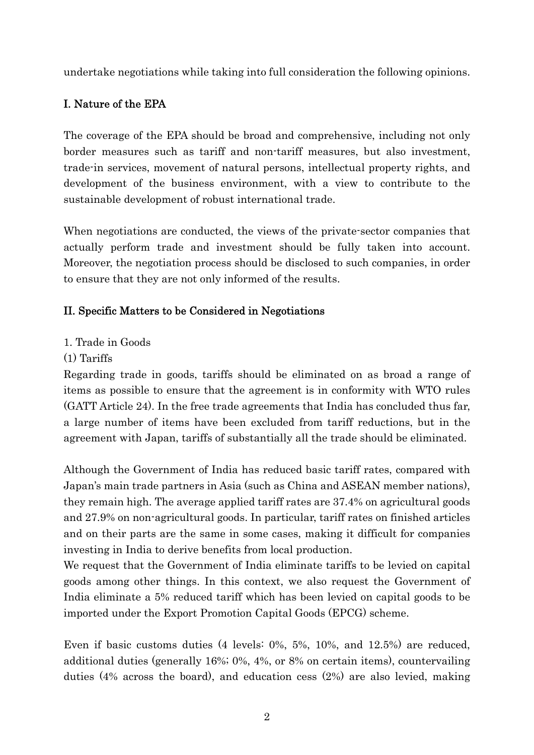undertake negotiations while taking into full consideration the following opinions.

# I. Nature of the EPA

The coverage of the EPA should be broad and comprehensive, including not only border measures such as tariff and non-tariff measures, but also investment, trade-in services, movement of natural persons, intellectual property rights, and development of the business environment, with a view to contribute to the sustainable development of robust international trade.

When negotiations are conducted, the views of the private-sector companies that actually perform trade and investment should be fully taken into account. Moreover, the negotiation process should be disclosed to such companies, in order to ensure that they are not only informed of the results.

# II. Specific Matters to be Considered in Negotiations

- 1. Trade in Goods
- (1) Tariffs

Regarding trade in goods, tariffs should be eliminated on as broad a range of items as possible to ensure that the agreement is in conformity with WTO rules (GATT Article 24). In the free trade agreements that India has concluded thus far, a large number of items have been excluded from tariff reductions, but in the agreement with Japan, tariffs of substantially all the trade should be eliminated.

Although the Government of India has reduced basic tariff rates, compared with Japan's main trade partners in Asia (such as China and ASEAN member nations), they remain high. The average applied tariff rates are 37.4% on agricultural goods and 27.9% on non-agricultural goods. In particular, tariff rates on finished articles and on their parts are the same in some cases, making it difficult for companies investing in India to derive benefits from local production.

We request that the Government of India eliminate tariffs to be levied on capital goods among other things. In this context, we also request the Government of India eliminate a 5% reduced tariff which has been levied on capital goods to be imported under the Export Promotion Capital Goods (EPCG) scheme.

Even if basic customs duties (4 levels: 0%, 5%, 10%, and 12.5%) are reduced, additional duties (generally 16%; 0%, 4%, or 8% on certain items), countervailing duties (4% across the board), and education cess (2%) are also levied, making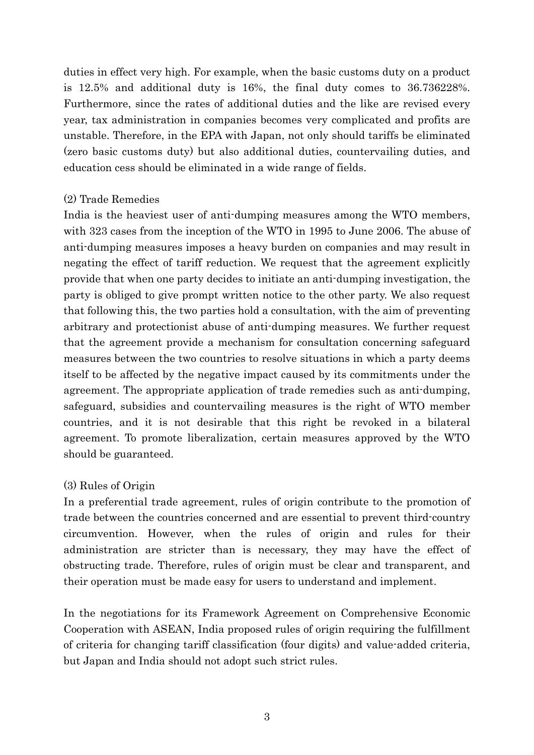duties in effect very high. For example, when the basic customs duty on a product is 12.5% and additional duty is 16%, the final duty comes to 36.736228%. Furthermore, since the rates of additional duties and the like are revised every year, tax administration in companies becomes very complicated and profits are unstable. Therefore, in the EPA with Japan, not only should tariffs be eliminated (zero basic customs duty) but also additional duties, countervailing duties, and education cess should be eliminated in a wide range of fields.

#### (2) Trade Remedies

India is the heaviest user of anti-dumping measures among the WTO members, with 323 cases from the inception of the WTO in 1995 to June 2006. The abuse of anti-dumping measures imposes a heavy burden on companies and may result in negating the effect of tariff reduction. We request that the agreement explicitly provide that when one party decides to initiate an anti-dumping investigation, the party is obliged to give prompt written notice to the other party. We also request that following this, the two parties hold a consultation, with the aim of preventing arbitrary and protectionist abuse of anti-dumping measures. We further request that the agreement provide a mechanism for consultation concerning safeguard measures between the two countries to resolve situations in which a party deems itself to be affected by the negative impact caused by its commitments under the agreement. The appropriate application of trade remedies such as anti-dumping, safeguard, subsidies and countervailing measures is the right of WTO member countries, and it is not desirable that this right be revoked in a bilateral agreement. To promote liberalization, certain measures approved by the WTO should be guaranteed.

## (3) Rules of Origin

In a preferential trade agreement, rules of origin contribute to the promotion of trade between the countries concerned and are essential to prevent third-country circumvention. However, when the rules of origin and rules for their administration are stricter than is necessary, they may have the effect of obstructing trade. Therefore, rules of origin must be clear and transparent, and their operation must be made easy for users to understand and implement.

In the negotiations for its Framework Agreement on Comprehensive Economic Cooperation with ASEAN, India proposed rules of origin requiring the fulfillment of criteria for changing tariff classification (four digits) and value-added criteria, but Japan and India should not adopt such strict rules.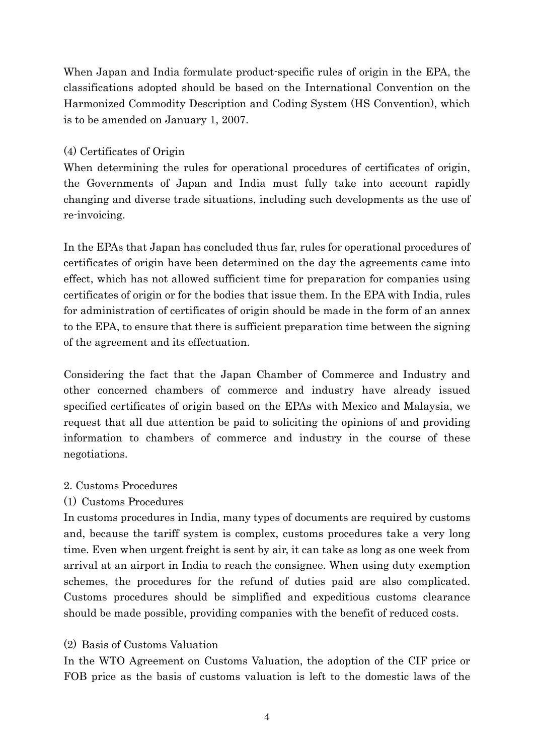When Japan and India formulate product-specific rules of origin in the EPA, the classifications adopted should be based on the International Convention on the Harmonized Commodity Description and Coding System (HS Convention), which is to be amended on January 1, 2007.

#### (4) Certificates of Origin

When determining the rules for operational procedures of certificates of origin, the Governments of Japan and India must fully take into account rapidly changing and diverse trade situations, including such developments as the use of re-invoicing.

In the EPAs that Japan has concluded thus far, rules for operational procedures of certificates of origin have been determined on the day the agreements came into effect, which has not allowed sufficient time for preparation for companies using certificates of origin or for the bodies that issue them. In the EPA with India, rules for administration of certificates of origin should be made in the form of an annex to the EPA, to ensure that there is sufficient preparation time between the signing of the agreement and its effectuation.

Considering the fact that the Japan Chamber of Commerce and Industry and other concerned chambers of commerce and industry have already issued specified certificates of origin based on the EPAs with Mexico and Malaysia, we request that all due attention be paid to soliciting the opinions of and providing information to chambers of commerce and industry in the course of these negotiations.

## 2. Customs Procedures

## (1) Customs Procedures

In customs procedures in India, many types of documents are required by customs and, because the tariff system is complex, customs procedures take a very long time. Even when urgent freight is sent by air, it can take as long as one week from arrival at an airport in India to reach the consignee. When using duty exemption schemes, the procedures for the refund of duties paid are also complicated. Customs procedures should be simplified and expeditious customs clearance should be made possible, providing companies with the benefit of reduced costs.

## (2) Basis of Customs Valuation

In the WTO Agreement on Customs Valuation, the adoption of the CIF price or FOB price as the basis of customs valuation is left to the domestic laws of the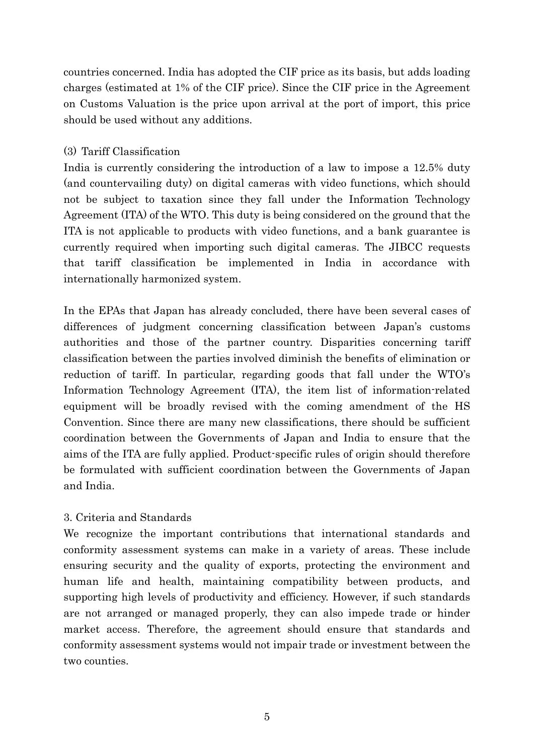countries concerned. India has adopted the CIF price as its basis, but adds loading charges (estimated at 1% of the CIF price). Since the CIF price in the Agreement on Customs Valuation is the price upon arrival at the port of import, this price should be used without any additions.

#### (3) Tariff Classification

India is currently considering the introduction of a law to impose a 12.5% duty (and countervailing duty) on digital cameras with video functions, which should not be subject to taxation since they fall under the Information Technology Agreement (ITA) of the WTO. This duty is being considered on the ground that the ITA is not applicable to products with video functions, and a bank guarantee is currently required when importing such digital cameras. The JIBCC requests that tariff classification be implemented in India in accordance with internationally harmonized system.

In the EPAs that Japan has already concluded, there have been several cases of differences of judgment concerning classification between Japan's customs authorities and those of the partner country. Disparities concerning tariff classification between the parties involved diminish the benefits of elimination or reduction of tariff. In particular, regarding goods that fall under the WTO's Information Technology Agreement (ITA), the item list of information-related equipment will be broadly revised with the coming amendment of the HS Convention. Since there are many new classifications, there should be sufficient coordination between the Governments of Japan and India to ensure that the aims of the ITA are fully applied. Product-specific rules of origin should therefore be formulated with sufficient coordination between the Governments of Japan and India.

## 3. Criteria and Standards

We recognize the important contributions that international standards and conformity assessment systems can make in a variety of areas. These include ensuring security and the quality of exports, protecting the environment and human life and health, maintaining compatibility between products, and supporting high levels of productivity and efficiency. However, if such standards are not arranged or managed properly, they can also impede trade or hinder market access. Therefore, the agreement should ensure that standards and conformity assessment systems would not impair trade or investment between the two counties.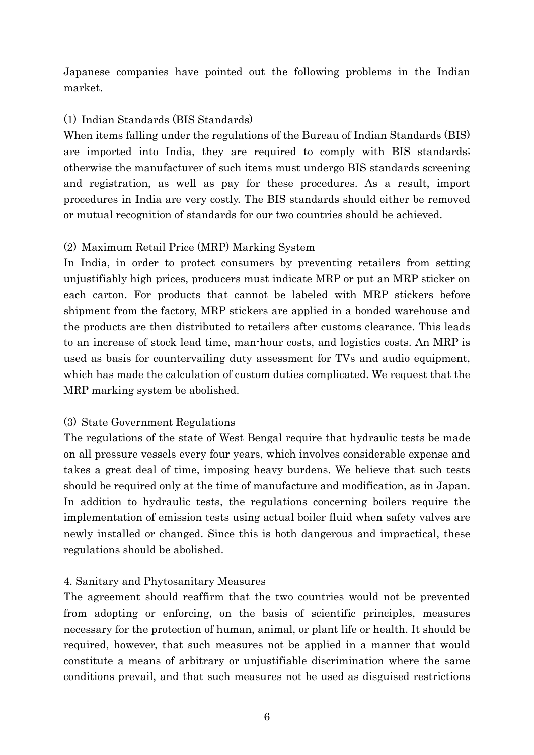Japanese companies have pointed out the following problems in the Indian market.

#### (1) Indian Standards (BIS Standards)

When items falling under the regulations of the Bureau of Indian Standards (BIS) are imported into India, they are required to comply with BIS standards; otherwise the manufacturer of such items must undergo BIS standards screening and registration, as well as pay for these procedures. As a result, import procedures in India are very costly. The BIS standards should either be removed or mutual recognition of standards for our two countries should be achieved.

#### (2) Maximum Retail Price (MRP) Marking System

In India, in order to protect consumers by preventing retailers from setting unjustifiably high prices, producers must indicate MRP or put an MRP sticker on each carton. For products that cannot be labeled with MRP stickers before shipment from the factory, MRP stickers are applied in a bonded warehouse and the products are then distributed to retailers after customs clearance. This leads to an increase of stock lead time, man-hour costs, and logistics costs. An MRP is used as basis for countervailing duty assessment for TVs and audio equipment, which has made the calculation of custom duties complicated. We request that the MRP marking system be abolished.

#### (3) State Government Regulations

The regulations of the state of West Bengal require that hydraulic tests be made on all pressure vessels every four years, which involves considerable expense and takes a great deal of time, imposing heavy burdens. We believe that such tests should be required only at the time of manufacture and modification, as in Japan. In addition to hydraulic tests, the regulations concerning boilers require the implementation of emission tests using actual boiler fluid when safety valves are newly installed or changed. Since this is both dangerous and impractical, these regulations should be abolished.

#### 4. Sanitary and Phytosanitary Measures

The agreement should reaffirm that the two countries would not be prevented from adopting or enforcing, on the basis of scientific principles, measures necessary for the protection of human, animal, or plant life or health. It should be required, however, that such measures not be applied in a manner that would constitute a means of arbitrary or unjustifiable discrimination where the same conditions prevail, and that such measures not be used as disguised restrictions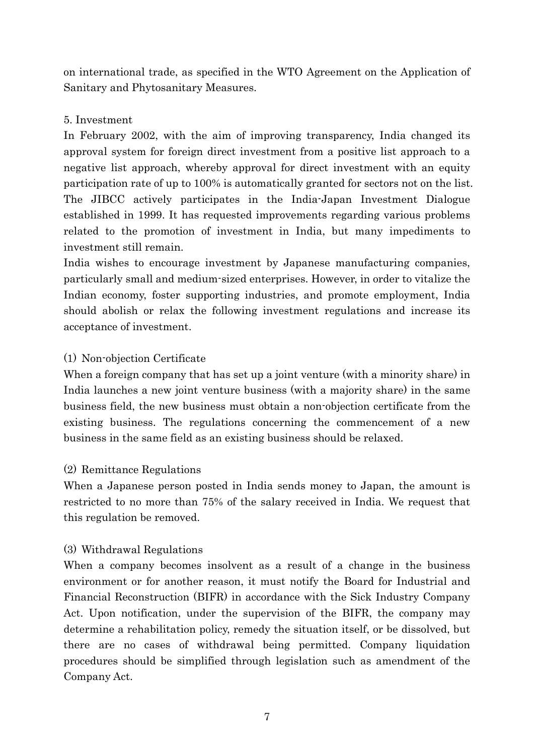on international trade, as specified in the WTO Agreement on the Application of Sanitary and Phytosanitary Measures.

## 5. Investment

In February 2002, with the aim of improving transparency, India changed its approval system for foreign direct investment from a positive list approach to a negative list approach, whereby approval for direct investment with an equity participation rate of up to 100% is automatically granted for sectors not on the list. The JIBCC actively participates in the India-Japan Investment Dialogue established in 1999. It has requested improvements regarding various problems related to the promotion of investment in India, but many impediments to investment still remain.

India wishes to encourage investment by Japanese manufacturing companies, particularly small and medium-sized enterprises. However, in order to vitalize the Indian economy, foster supporting industries, and promote employment, India should abolish or relax the following investment regulations and increase its acceptance of investment.

# (1) Non-objection Certificate

When a foreign company that has set up a joint venture (with a minority share) in India launches a new joint venture business (with a majority share) in the same business field, the new business must obtain a non-objection certificate from the existing business. The regulations concerning the commencement of a new business in the same field as an existing business should be relaxed.

# (2) Remittance Regulations

When a Japanese person posted in India sends money to Japan, the amount is restricted to no more than 75% of the salary received in India. We request that this regulation be removed.

## (3) Withdrawal Regulations

When a company becomes insolvent as a result of a change in the business environment or for another reason, it must notify the Board for Industrial and Financial Reconstruction (BIFR) in accordance with the Sick Industry Company Act. Upon notification, under the supervision of the BIFR, the company may determine a rehabilitation policy, remedy the situation itself, or be dissolved, but there are no cases of withdrawal being permitted. Company liquidation procedures should be simplified through legislation such as amendment of the Company Act.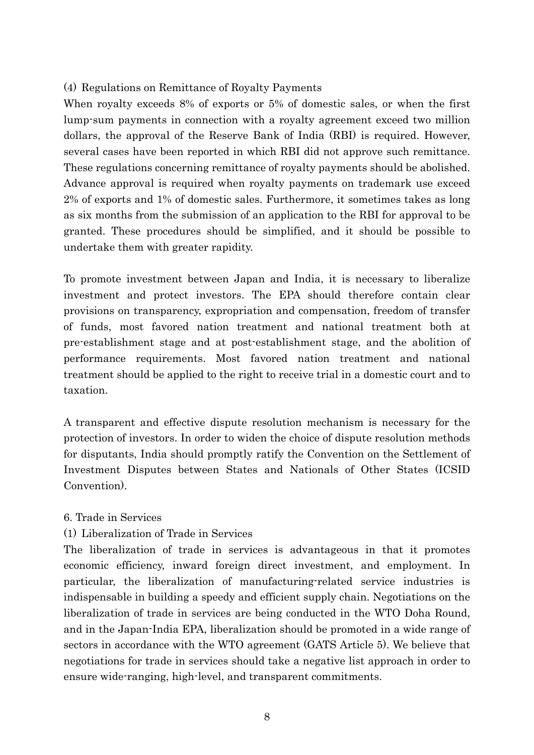#### (4) Regulations on Remittance of Royalty Payments

When royalty exceeds 8% of exports or 5% of domestic sales, or when the first lump-sum payments in connection with a royalty agreement exceed two million dollars, the approval of the Reserve Bank of India (RBI) is required. However, several cases have been reported in which RBI did not approve such remittance. These regulations concerning remittance of royalty payments should be abolished. Advance approval is required when royalty payments on trademark use exceed 2% of exports and 1% of domestic sales. Furthermore, it sometimes takes as long as six months from the submission of an application to the RBI for approval to be granted. These procedures should be simplified, and it should be possible to undertake them with greater rapidity.

To promote investment between Japan and India, it is necessary to liberalize investment and protect investors. The EPA should therefore contain clear provisions on transparency, expropriation and compensation, freedom of transfer of funds, most favored nation treatment and national treatment both at pre-establishment stage and at post-establishment stage, and the abolition of performance requirements. Most favored nation treatment and national treatment should be applied to the right to receive trial in a domestic court and to taxation.

A transparent and effective dispute resolution mechanism is necessary for the protection of investors. In order to widen the choice of dispute resolution methods for disputants, India should promptly ratify the Convention on the Settlement of Investment Disputes between States and Nationals of Other States (ICSID Convention).

#### 6. Trade in Services

#### (1) Liberalization of Trade in Services

The liberalization of trade in services is advantageous in that it promotes economic efficiency, inward foreign direct investment, and employment. In particular, the liberalization of manufacturing-related service industries is indispensable in building a speedy and efficient supply chain. Negotiations on the liberalization of trade in services are being conducted in the WTO Doha Round, and in the Japan-India EPA, liberalization should be promoted in a wide range of sectors in accordance with the WTO agreement (GATS Article 5). We believe that negotiations for trade in services should take a negative list approach in order to ensure wide-ranging, high-level, and transparent commitments.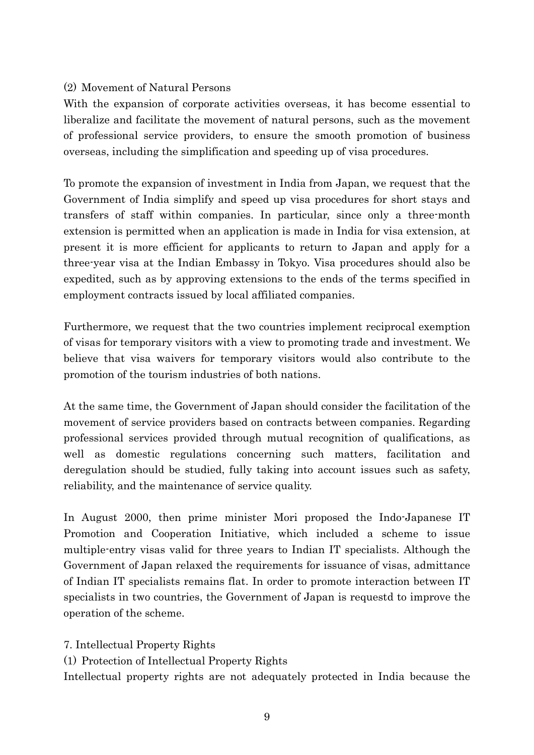## (2) Movement of Natural Persons

With the expansion of corporate activities overseas, it has become essential to liberalize and facilitate the movement of natural persons, such as the movement of professional service providers, to ensure the smooth promotion of business overseas, including the simplification and speeding up of visa procedures.

To promote the expansion of investment in India from Japan, we request that the Government of India simplify and speed up visa procedures for short stays and transfers of staff within companies. In particular, since only a three-month extension is permitted when an application is made in India for visa extension, at present it is more efficient for applicants to return to Japan and apply for a three-year visa at the Indian Embassy in Tokyo. Visa procedures should also be expedited, such as by approving extensions to the ends of the terms specified in employment contracts issued by local affiliated companies.

Furthermore, we request that the two countries implement reciprocal exemption of visas for temporary visitors with a view to promoting trade and investment. We believe that visa waivers for temporary visitors would also contribute to the promotion of the tourism industries of both nations.

At the same time, the Government of Japan should consider the facilitation of the movement of service providers based on contracts between companies. Regarding professional services provided through mutual recognition of qualifications, as well as domestic regulations concerning such matters, facilitation and deregulation should be studied, fully taking into account issues such as safety, reliability, and the maintenance of service quality.

In August 2000, then prime minister Mori proposed the Indo-Japanese IT Promotion and Cooperation Initiative, which included a scheme to issue multiple-entry visas valid for three years to Indian IT specialists. Although the Government of Japan relaxed the requirements for issuance of visas, admittance of Indian IT specialists remains flat. In order to promote interaction between IT specialists in two countries, the Government of Japan is requestd to improve the operation of the scheme.

7. Intellectual Property Rights

(1) Protection of Intellectual Property Rights

Intellectual property rights are not adequately protected in India because the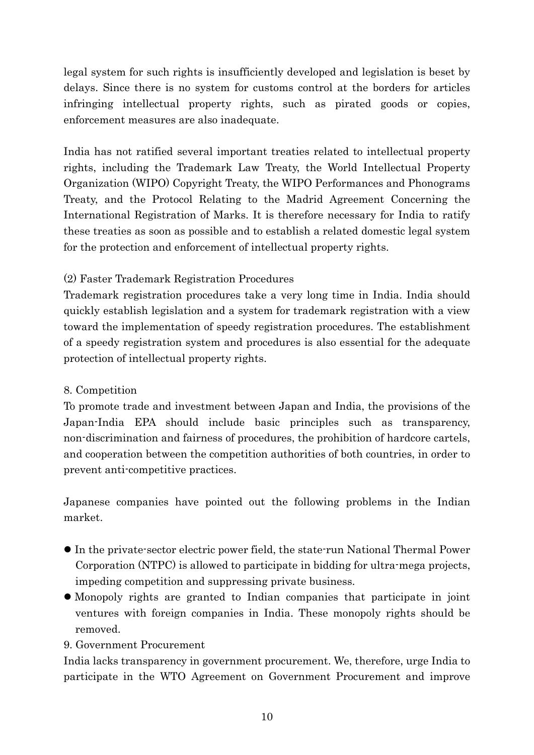legal system for such rights is insufficiently developed and legislation is beset by delays. Since there is no system for customs control at the borders for articles infringing intellectual property rights, such as pirated goods or copies, enforcement measures are also inadequate.

India has not ratified several important treaties related to intellectual property rights, including the Trademark Law Treaty, the World Intellectual Property Organization (WIPO) Copyright Treaty, the WIPO Performances and Phonograms Treaty, and the Protocol Relating to the Madrid Agreement Concerning the International Registration of Marks. It is therefore necessary for India to ratify these treaties as soon as possible and to establish a related domestic legal system for the protection and enforcement of intellectual property rights.

# (2) Faster Trademark Registration Procedures

Trademark registration procedures take a very long time in India. India should quickly establish legislation and a system for trademark registration with a view toward the implementation of speedy registration procedures. The establishment of a speedy registration system and procedures is also essential for the adequate protection of intellectual property rights.

# 8. Competition

To promote trade and investment between Japan and India, the provisions of the Japan-India EPA should include basic principles such as transparency, non-discrimination and fairness of procedures, the prohibition of hardcore cartels, and cooperation between the competition authorities of both countries, in order to prevent anti-competitive practices.

Japanese companies have pointed out the following problems in the Indian market.

- In the private-sector electric power field, the state-run National Thermal Power Corporation (NTPC) is allowed to participate in bidding for ultra-mega projects, impeding competition and suppressing private business.
- Monopoly rights are granted to Indian companies that participate in joint ventures with foreign companies in India. These monopoly rights should be removed.

## 9. Government Procurement

India lacks transparency in government procurement. We, therefore, urge India to participate in the WTO Agreement on Government Procurement and improve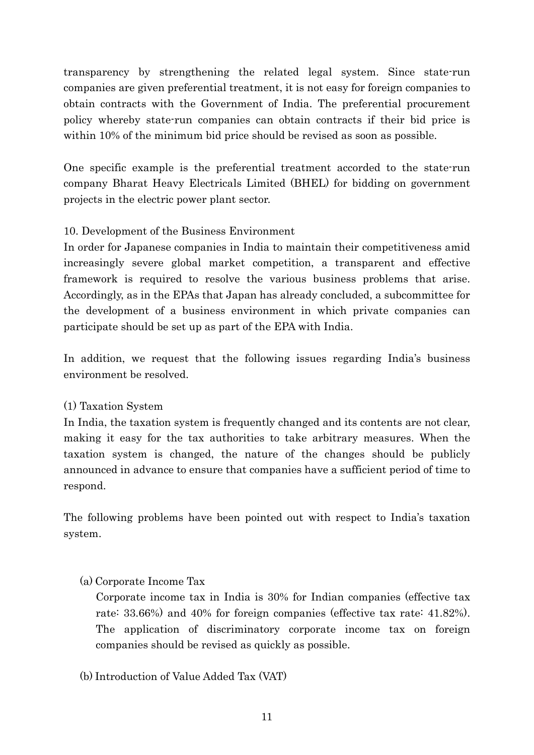transparency by strengthening the related legal system. Since state-run companies are given preferential treatment, it is not easy for foreign companies to obtain contracts with the Government of India. The preferential procurement policy whereby state-run companies can obtain contracts if their bid price is within 10% of the minimum bid price should be revised as soon as possible.

One specific example is the preferential treatment accorded to the state-run company Bharat Heavy Electricals Limited (BHEL) for bidding on government projects in the electric power plant sector.

## 10. Development of the Business Environment

In order for Japanese companies in India to maintain their competitiveness amid increasingly severe global market competition, a transparent and effective framework is required to resolve the various business problems that arise. Accordingly, as in the EPAs that Japan has already concluded, a subcommittee for the development of a business environment in which private companies can participate should be set up as part of the EPA with India.

In addition, we request that the following issues regarding India's business environment be resolved.

## (1) Taxation System

In India, the taxation system is frequently changed and its contents are not clear, making it easy for the tax authorities to take arbitrary measures. When the taxation system is changed, the nature of the changes should be publicly announced in advance to ensure that companies have a sufficient period of time to respond.

The following problems have been pointed out with respect to India's taxation system.

## (a) Corporate Income Tax

Corporate income tax in India is 30% for Indian companies (effective tax rate: 33.66%) and 40% for foreign companies (effective tax rate: 41.82%). The application of discriminatory corporate income tax on foreign companies should be revised as quickly as possible.

(b) Introduction of Value Added Tax (VAT)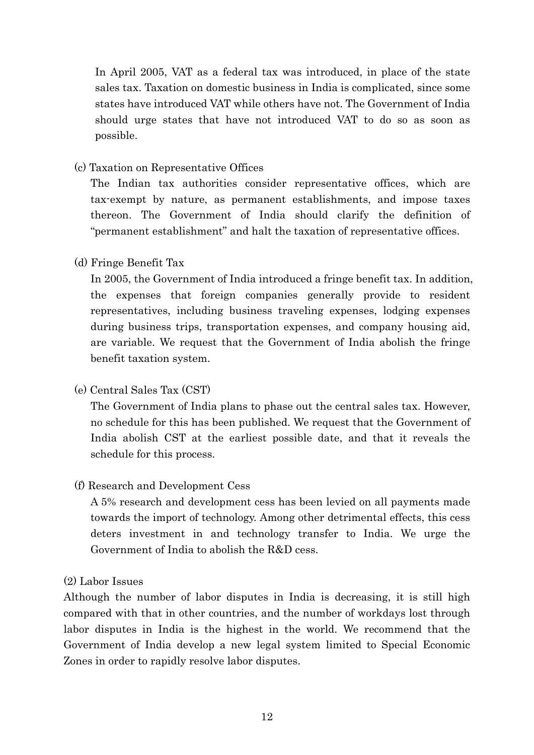In April 2005, VAT as a federal tax was introduced, in place of the state sales tax. Taxation on domestic business in India is complicated, since some states have introduced VAT while others have not. The Government of India should urge states that have not introduced VAT to do so as soon as possible.

## (c) Taxation on Representative Offices

 The Indian tax authorities consider representative offices, which are tax-exempt by nature, as permanent establishments, and impose taxes thereon. The Government of India should clarify the definition of "permanent establishment" and halt the taxation of representative offices.

## (d) Fringe Benefit Tax

In 2005, the Government of India introduced a fringe benefit tax. In addition, the expenses that foreign companies generally provide to resident representatives, including business traveling expenses, lodging expenses during business trips, transportation expenses, and company housing aid, are variable. We request that the Government of India abolish the fringe benefit taxation system.

(e) Central Sales Tax (CST)

 The Government of India plans to phase out the central sales tax. However, no schedule for this has been published. We request that the Government of India abolish CST at the earliest possible date, and that it reveals the schedule for this process.

## (f) Research and Development Cess

 A 5% research and development cess has been levied on all payments made towards the import of technology. Among other detrimental effects, this cess deters investment in and technology transfer to India. We urge the Government of India to abolish the R&D cess.

## (2) Labor Issues

Although the number of labor disputes in India is decreasing, it is still high compared with that in other countries, and the number of workdays lost through labor disputes in India is the highest in the world. We recommend that the Government of India develop a new legal system limited to Special Economic Zones in order to rapidly resolve labor disputes.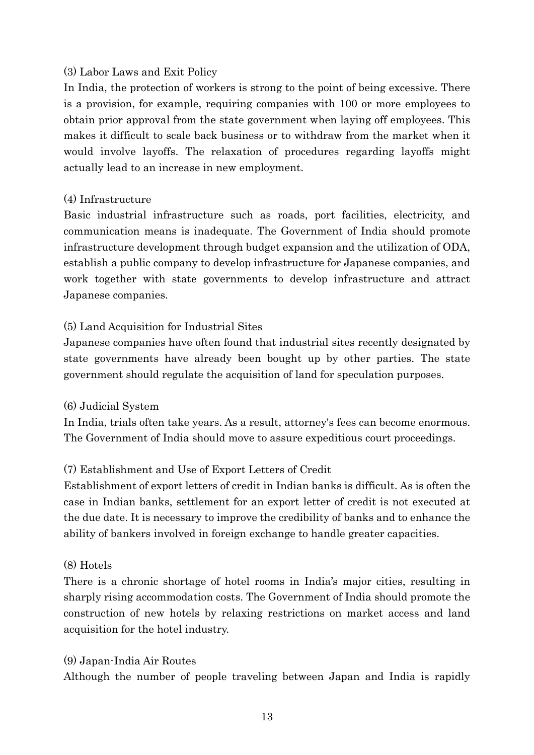## (3) Labor Laws and Exit Policy

In India, the protection of workers is strong to the point of being excessive. There is a provision, for example, requiring companies with 100 or more employees to obtain prior approval from the state government when laying off employees. This makes it difficult to scale back business or to withdraw from the market when it would involve layoffs. The relaxation of procedures regarding layoffs might actually lead to an increase in new employment.

#### (4) Infrastructure

Basic industrial infrastructure such as roads, port facilities, electricity, and communication means is inadequate. The Government of India should promote infrastructure development through budget expansion and the utilization of ODA, establish a public company to develop infrastructure for Japanese companies, and work together with state governments to develop infrastructure and attract Japanese companies.

## (5) Land Acquisition for Industrial Sites

Japanese companies have often found that industrial sites recently designated by state governments have already been bought up by other parties. The state government should regulate the acquisition of land for speculation purposes.

#### (6) Judicial System

In India, trials often take years. As a result, attorney's fees can become enormous. The Government of India should move to assure expeditious court proceedings.

## (7) Establishment and Use of Export Letters of Credit

Establishment of export letters of credit in Indian banks is difficult. As is often the case in Indian banks, settlement for an export letter of credit is not executed at the due date. It is necessary to improve the credibility of banks and to enhance the ability of bankers involved in foreign exchange to handle greater capacities.

#### (8) Hotels

There is a chronic shortage of hotel rooms in India's major cities, resulting in sharply rising accommodation costs. The Government of India should promote the construction of new hotels by relaxing restrictions on market access and land acquisition for the hotel industry.

#### (9) Japan-India Air Routes

Although the number of people traveling between Japan and India is rapidly